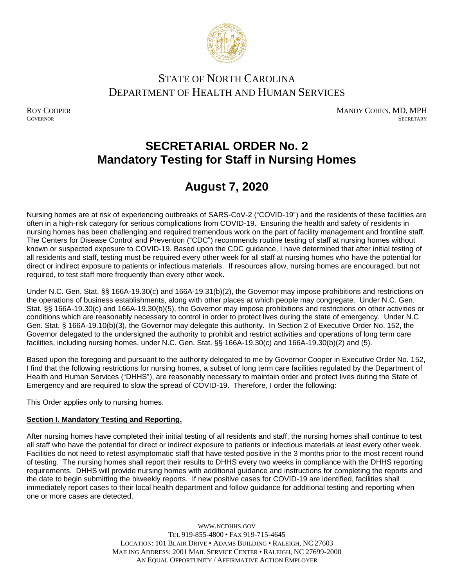

### STATE OF NORTH CAROLINA DEPARTMENT OF HEALTH AND HUMAN SERVICES

ROY COOPER MANDY COHEN, MD, MPH GOVERNOR SECRETARY **GOVERNOR** SECRETARY SECRETARY

## **SECRETARIAL ORDER No. 2 Mandatory Testing for Staff in Nursing Homes**

# **August 7, 2020**

Nursing homes are at risk of experiencing outbreaks of SARS-CoV-2 ("COVID-19") and the residents of these facilities are often in a high-risk category for serious complications from COVID-19. Ensuring the health and safety of residents in nursing homes has been challenging and required tremendous work on the part of facility management and frontline staff. The Centers for Disease Control and Prevention ("CDC") recommends routine testing of staff at nursing homes without known or suspected exposure to COVID-19. Based upon the CDC guidance, I have determined that after initial testing of all residents and staff, testing must be required every other week for all staff at nursing homes who have the potential for direct or indirect exposure to patients or infectious materials. If resources allow, nursing homes are encouraged, but not required, to test staff more frequently than every other week.

Under N.C. Gen. Stat. §§ 166A-19.30(c) and 166A-19.31(b)(2), the Governor may impose prohibitions and restrictions on the operations of business establishments, along with other places at which people may congregate. Under N.C. Gen. Stat. §§ 166A-19.30(c) and 166A-19.30(b)(5), the Governor may impose prohibitions and restrictions on other activities or conditions which are reasonably necessary to control in order to protect lives during the state of emergency. Under N.C. Gen. Stat. § 166A-19.10(b)(3), the Governor may delegate this authority. In Section 2 of Executive Order No. 152, the Governor delegated to the undersigned the authority to prohibit and restrict activities and operations of long term care facilities, including nursing homes, under N.C. Gen. Stat. §§ 166A-19.30(c) and 166A-19.30(b)(2) and (5).

Based upon the foregoing and pursuant to the authority delegated to me by Governor Cooper in Executive Order No. 152, I find that the following restrictions for nursing homes, a subset of long term care facilities regulated by the Department of Health and Human Services ("DHHS"), are reasonably necessary to maintain order and protect lives during the State of Emergency and are required to slow the spread of COVID-19. Therefore, I order the following:

This Order applies only to nursing homes.

#### **Section I. Mandatory Testing and Reporting.**

After nursing homes have completed their initial testing of all residents and staff, the nursing homes shall continue to test all staff who have the potential for direct or indirect exposure to patients or infectious materials at least every other week. Facilities do not need to retest asymptomatic staff that have tested positive in the 3 months prior to the most recent round of testing. The nursing homes shall report their results to DHHS every two weeks in compliance with the DHHS reporting requirements. DHHS will provide nursing homes with additional guidance and instructions for completing the reports and the date to begin submitting the biweekly reports. If new positive cases for COVID-19 are identified, facilities shall immediately report cases to their local health department and follow guidance for additional testing and reporting when one or more cases are detected.

> WWW.[NCDHHS](http://www.ncdhhs.gov/).GOV TEL 919-855-4800 • FAX 919-715-4645 LOCATION: 101 BLAIR DRIVE • ADAMS BUILDING • RALEIGH, NC 27603 MAILING ADDRESS: 2001 MAIL SERVICE CENTER • RALEIGH, NC 27699-2000 AN EQUAL OPPORTUNITY / AFFIRMATIVE ACTION EMPLOYER